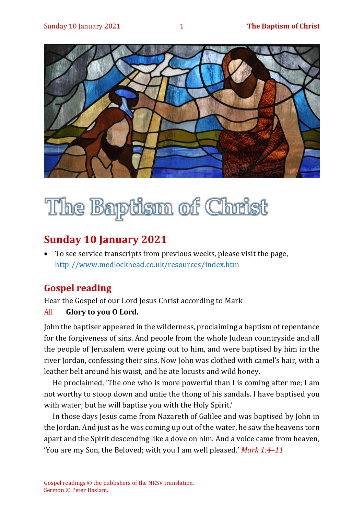

# The Baptism of Christ

## **Sunday 10 January 2021**

• To see service transcripts from previous weeks, please visit the page, <http://www.medlockhead.co.uk/resources/index.htm>

## **Gospel reading**

Hear the Gospel of our Lord Jesus Christ according to Mark

#### All **Glory to you O Lord.**

John the baptiser appeared in the wilderness, proclaiming a baptism of repentance for the forgiveness of sins. And people from the whole Judean countryside and all the people of Jerusalem were going out to him, and were baptised by him in the river Jordan, confessing their sins. Now John was clothed with camel's hair, with a leather belt around his waist, and he ate locusts and wild honey.

He proclaimed, 'The one who is more powerful than I is coming after me; I am not worthy to stoop down and untie the thong of his sandals. I have baptised you with water; but he will baptise you with the Holy Spirit.'

In those days Jesus came from Nazareth of Galilee and was baptised by John in the Jordan. And just as he was coming up out of the water, he saw the heavens torn apart and the Spirit descending like a dove on him. And a voice came from heaven, 'You are my Son, the Beloved; with you I am well pleased.' *Mark 1:4–11*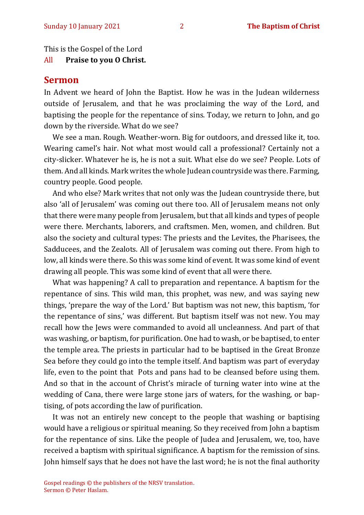This is the Gospel of the Lord

All **Praise to you O Christ.** 

### **Sermon**

In Advent we heard of John the Baptist. How he was in the Judean wilderness outside of Jerusalem, and that he was proclaiming the way of the Lord, and baptising the people for the repentance of sins. Today, we return to John, and go down by the riverside. What do we see?

We see a man. Rough. Weather-worn. Big for outdoors, and dressed like it, too. Wearing camel's hair. Not what most would call a professional? Certainly not a city-slicker. Whatever he is, he is not a suit. What else do we see? People. Lots of them. And all kinds. Mark writes the whole Judean countryside was there. Farming, country people. Good people.

And who else? Mark writes that not only was the Judean countryside there, but also 'all of Jerusalem' was coming out there too. All of Jerusalem means not only that there were many people from Jerusalem, but that all kinds and types of people were there. Merchants, laborers, and craftsmen. Men, women, and children. But also the society and cultural types: The priests and the Levites, the Pharisees, the Sadducees, and the Zealots. All of Jerusalem was coming out there. From high to low, all kinds were there. So this was some kind of event. It was some kind of event drawing all people. This was some kind of event that all were there.

What was happening? A call to preparation and repentance. A baptism for the repentance of sins. This wild man, this prophet, was new, and was saying new things, 'prepare the way of the Lord.' But baptism was not new, this baptism, 'for the repentance of sins,' was different. But baptism itself was not new. You may recall how the Jews were commanded to avoid all uncleanness. And part of that was washing, or baptism, for purification. One had to wash, or be baptised, to enter the temple area. The priests in particular had to be baptised in the Great Bronze Sea before they could go into the temple itself. And baptism was part of everyday life, even to the point that Pots and pans had to be cleansed before using them. And so that in the account of Christ's miracle of turning water into wine at the wedding of Cana, there were large stone jars of waters, for the washing, or baptising, of pots according the law of purification.

It was not an entirely new concept to the people that washing or baptising would have a religious or spiritual meaning. So they received from John a baptism for the repentance of sins. Like the people of Judea and Jerusalem, we, too, have received a baptism with spiritual significance. A baptism for the remission of sins. John himself says that he does not have the last word; he is not the final authority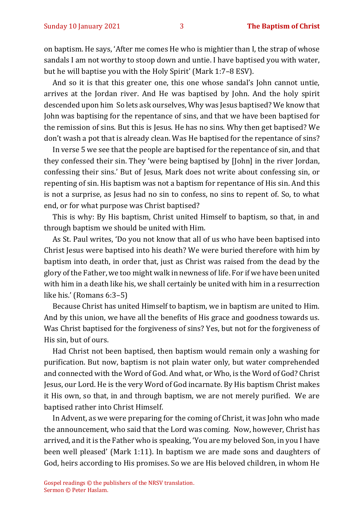on baptism. He says, 'After me comes He who is mightier than I, the strap of whose sandals I am not worthy to stoop down and untie. I have baptised you with water, but he will baptise you with the Holy Spirit' (Mark 1:7–8 ESV).

And so it is that this greater one, this one whose sandal's John cannot untie, arrives at the Jordan river. And He was baptised by John. And the holy spirit descended upon him So lets ask ourselves, Why was Jesus baptised? We know that John was baptising for the repentance of sins, and that we have been baptised for the remission of sins. But this is Jesus. He has no sins. Why then get baptised? We don't wash a pot that is already clean. Was He baptised for the repentance of sins?

In verse 5 we see that the people are baptised for the repentance of sin, and that they confessed their sin. They 'were being baptised by [John] in the river Jordan, confessing their sins.' But of Jesus, Mark does not write about confessing sin, or repenting of sin. His baptism was not a baptism for repentance of His sin. And this is not a surprise, as Jesus had no sin to confess, no sins to repent of. So, to what end, or for what purpose was Christ baptised?

This is why: By His baptism, Christ united Himself to baptism, so that, in and through baptism we should be united with Him.

As St. Paul writes, 'Do you not know that all of us who have been baptised into Christ Jesus were baptised into his death? We were buried therefore with him by baptism into death, in order that, just as Christ was raised from the dead by the glory of the Father, we too might walk in newness of life. For if we have been united with him in a death like his, we shall certainly be united with him in a resurrection like his.' (Romans 6:3–5)

Because Christ has united Himself to baptism, we in baptism are united to Him. And by this union, we have all the benefits of His grace and goodness towards us. Was Christ baptised for the forgiveness of sins? Yes, but not for the forgiveness of His sin, but of ours.

Had Christ not been baptised, then baptism would remain only a washing for purification. But now, baptism is not plain water only, but water comprehended and connected with the Word of God. And what, or Who, is the Word of God? Christ Jesus, our Lord. He is the very Word of God incarnate. By His baptism Christ makes it His own, so that, in and through baptism, we are not merely purified. We are baptised rather into Christ Himself.

In Advent, as we were preparing for the coming of Christ, it was John who made the announcement, who said that the Lord was coming. Now, however, Christ has arrived, and it is the Father who is speaking, 'You are my beloved Son, in you I have been well pleased' (Mark 1:11). In baptism we are made sons and daughters of God, heirs according to His promises. So we are His beloved children, in whom He